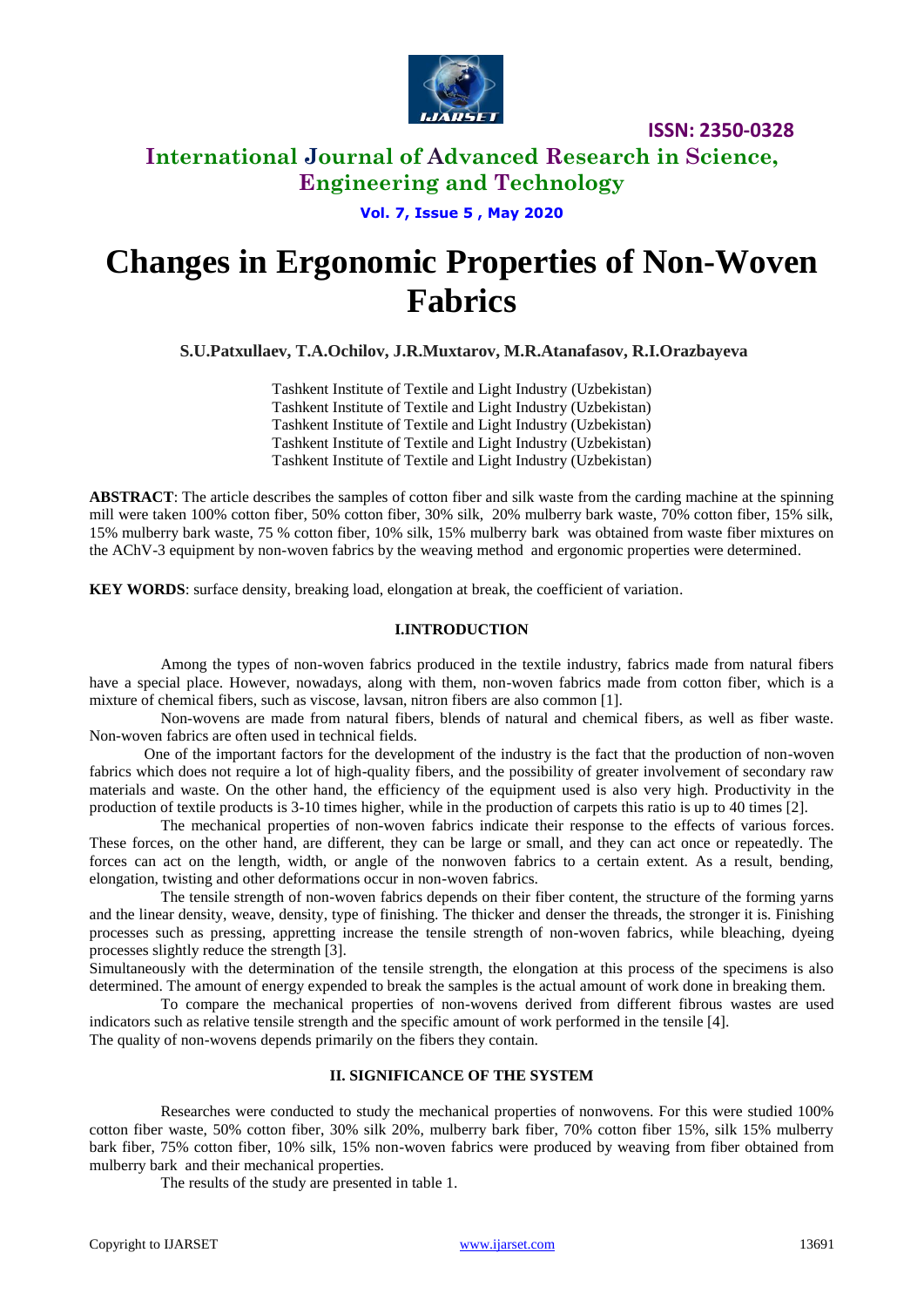

**ISSN: 2350-0328**

## **International Journal of Advanced Research in Science, Engineering and Technology**

**Vol. 7, Issue 5 , May 2020**

# **Changes in Ergonomic Properties of Non-Woven Fabrics**

**S.U.Patxullaev, T.A.Ochilov, J.R.Muxtarov, M.R.Atanafasov, R.I.Orazbayeva**

Tashkent Institute of Textile and Light Industry (Uzbekistan) Tashkent Institute of Textile and Light Industry (Uzbekistan) Tashkent Institute of Textile and Light Industry (Uzbekistan) Tashkent Institute of Textile and Light Industry (Uzbekistan) Tashkent Institute of Textile and Light Industry (Uzbekistan)

**ABSTRACT**: The article describes the samples of cotton fiber and silk waste from the carding machine at the spinning mill were taken 100% cotton fiber, 50% cotton fiber, 30% silk, 20% mulberry bark waste, 70% cotton fiber, 15% silk, 15% mulberry bark waste, 75 % cotton fiber, 10% silk, 15% mulberry bark was obtained from waste fiber mixtures on the AChV-3 equipment by non-woven fabrics by the weaving method and ergonomic properties were determined.

**KEY WORDS**: surface density, breaking load, elongation at break, the coefficient of variation.

#### **I.INTRODUCTION**

Among the types of non-woven fabrics produced in the textile industry, fabrics made from natural fibers have a special place. However, nowadays, along with them, non-woven fabrics made from cotton fiber, which is a mixture of chemical fibers, such as viscose, lavsan, nitron fibers are also common [1].

Non-wovens are made from natural fibers, blends of natural and chemical fibers, as well as fiber waste. Non-woven fabrics are often used in technical fields.

One of the important factors for the development of the industry is the fact that the production of non-woven fabrics which does not require a lot of high-quality fibers, and the possibility of greater involvement of secondary raw materials and waste. On the other hand, the efficiency of the equipment used is also very high. Productivity in the production of textile products is 3-10 times higher, while in the production of carpets this ratio is up to 40 times [2].

The mechanical properties of non-woven fabrics indicate their response to the effects of various forces. These forces, on the other hand, are different, they can be large or small, and they can act once or repeatedly. The forces can act on the length, width, or angle of the nonwoven fabrics to a certain extent. As a result, bending, elongation, twisting and other deformations occur in non-woven fabrics.

The tensile strength of non-woven fabrics depends on their fiber content, the structure of the forming yarns and the linear density, weave, density, type of finishing. The thicker and denser the threads, the stronger it is. Finishing processes such as pressing, appretting increase the tensile strength of non-woven fabrics, while bleaching, dyeing processes slightly reduce the strength [3].

Simultaneously with the determination of the tensile strength, the elongation at this process of the specimens is also determined. The amount of energy expended to break the samples is the actual amount of work done in breaking them.

To compare the mechanical properties of non-wovens derived from different fibrous wastes are used indicators such as relative tensile strength and the specific amount of work performed in the tensile [4]. The quality of non-wovens depends primarily on the fibers they contain.

#### **II. SIGNIFICANCE OF THE SYSTEM**

Researches were conducted to study the mechanical properties of nonwovens. For this were studied 100% cotton fiber waste, 50% cotton fiber, 30% silk 20%, mulberry bark fiber, 70% cotton fiber 15%, silk 15% mulberry bark fiber, 75% cotton fiber, 10% silk, 15% non-woven fabrics were produced by weaving from fiber obtained from mulberry bark and their mechanical properties.

The results of the study are presented in table 1.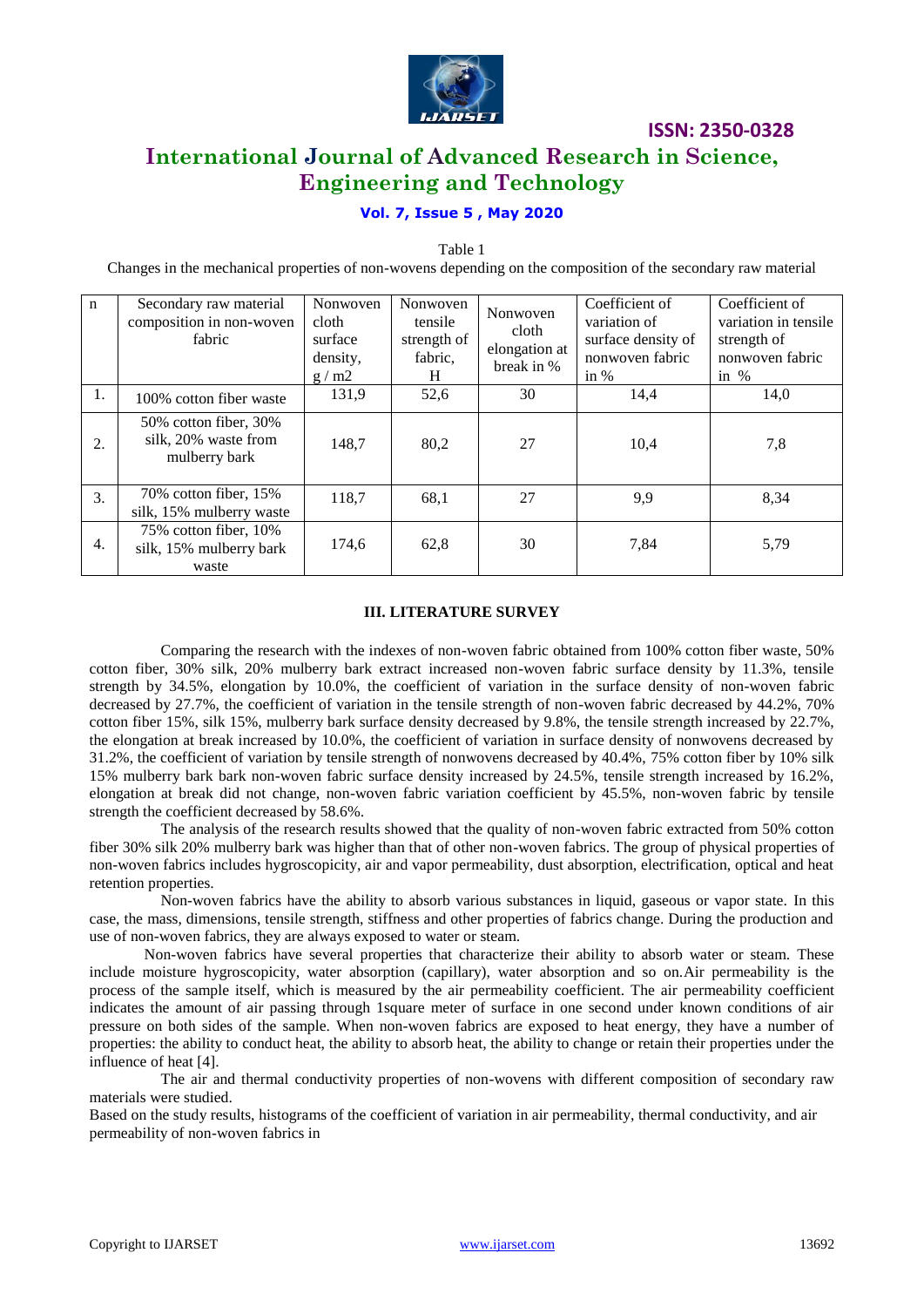

### **ISSN: 2350-0328**

# **International Journal of Advanced Research in Science, Engineering and Technology**

### **Vol. 7, Issue 5 , May 2020**

Table 1

Changes in the mechanical properties of non-wovens depending on the composition of the secondary raw material

| $\mathbf n$ | Secondary raw material<br>composition in non-woven<br>fabric   | Nonwoven<br>cloth<br>surface<br>density,<br>g/m2 | Nonwoven<br>tensile<br>strength of<br>fabric,<br>H | Nonwoven<br>cloth<br>elongation at<br>break in % | Coefficient of<br>variation of<br>surface density of<br>nonwoven fabric<br>in $%$ | Coefficient of<br>variation in tensile<br>strength of<br>nonwoven fabric<br>in $%$ |
|-------------|----------------------------------------------------------------|--------------------------------------------------|----------------------------------------------------|--------------------------------------------------|-----------------------------------------------------------------------------------|------------------------------------------------------------------------------------|
| 1.          | 100% cotton fiber waste                                        | 131,9                                            | 52,6                                               | 30                                               | 14,4                                                                              | 14,0                                                                               |
| 2.          | 50% cotton fiber, 30%<br>silk, 20% waste from<br>mulberry bark | 148,7                                            | 80,2                                               | 27                                               | 10,4                                                                              | 7,8                                                                                |
| 3.          | 70% cotton fiber, 15%<br>silk, 15% mulberry waste              | 118.7                                            | 68,1                                               | 27                                               | 9,9                                                                               | 8,34                                                                               |
| 4.          | 75% cotton fiber, 10%<br>silk, 15% mulberry bark<br>waste      | 174,6                                            | 62,8                                               | 30                                               | 7,84                                                                              | 5,79                                                                               |

#### **III. LITERATURE SURVEY**

Comparing the research with the indexes of non-woven fabric obtained from 100% cotton fiber waste, 50% cotton fiber, 30% silk, 20% mulberry bark extract increased non-woven fabric surface density by 11.3%, tensile strength by 34.5%, elongation by 10.0%, the coefficient of variation in the surface density of non-woven fabric decreased by 27.7%, the coefficient of variation in the tensile strength of non-woven fabric decreased by 44.2%, 70% cotton fiber 15%, silk 15%, mulberry bark surface density decreased by 9.8%, the tensile strength increased by 22.7%, the elongation at break increased by 10.0%, the coefficient of variation in surface density of nonwovens decreased by 31.2%, the coefficient of variation by tensile strength of nonwovens decreased by 40.4%, 75% cotton fiber by 10% silk 15% mulberry bark bark non-woven fabric surface density increased by 24.5%, tensile strength increased by 16.2%, elongation at break did not change, non-woven fabric variation coefficient by 45.5%, non-woven fabric by tensile strength the coefficient decreased by 58.6%.

The analysis of the research results showed that the quality of non-woven fabric extracted from 50% cotton fiber 30% silk 20% mulberry bark was higher than that of other non-woven fabrics. The group of physical properties of non-woven fabrics includes hygroscopicity, air and vapor permeability, dust absorption, electrification, optical and heat retention properties.

Non-woven fabrics have the ability to absorb various substances in liquid, gaseous or vapor state. In this case, the mass, dimensions, tensile strength, stiffness and other properties of fabrics change. During the production and use of non-woven fabrics, they are always exposed to water or steam.

Non-woven fabrics have several properties that characterize their ability to absorb water or steam. These include moisture hygroscopicity, water absorption (capillary), water absorption and so on.Air permeability is the process of the sample itself, which is measured by the air permeability coefficient. The air permeability coefficient indicates the amount of air passing through 1square meter of surface in one second under known conditions of air pressure on both sides of the sample. When non-woven fabrics are exposed to heat energy, they have a number of properties: the ability to conduct heat, the ability to absorb heat, the ability to change or retain their properties under the influence of heat [4].

The air and thermal conductivity properties of non-wovens with different composition of secondary raw materials were studied.

Based on the study results, histograms of the coefficient of variation in air permeability, thermal conductivity, and air permeability of non-woven fabrics in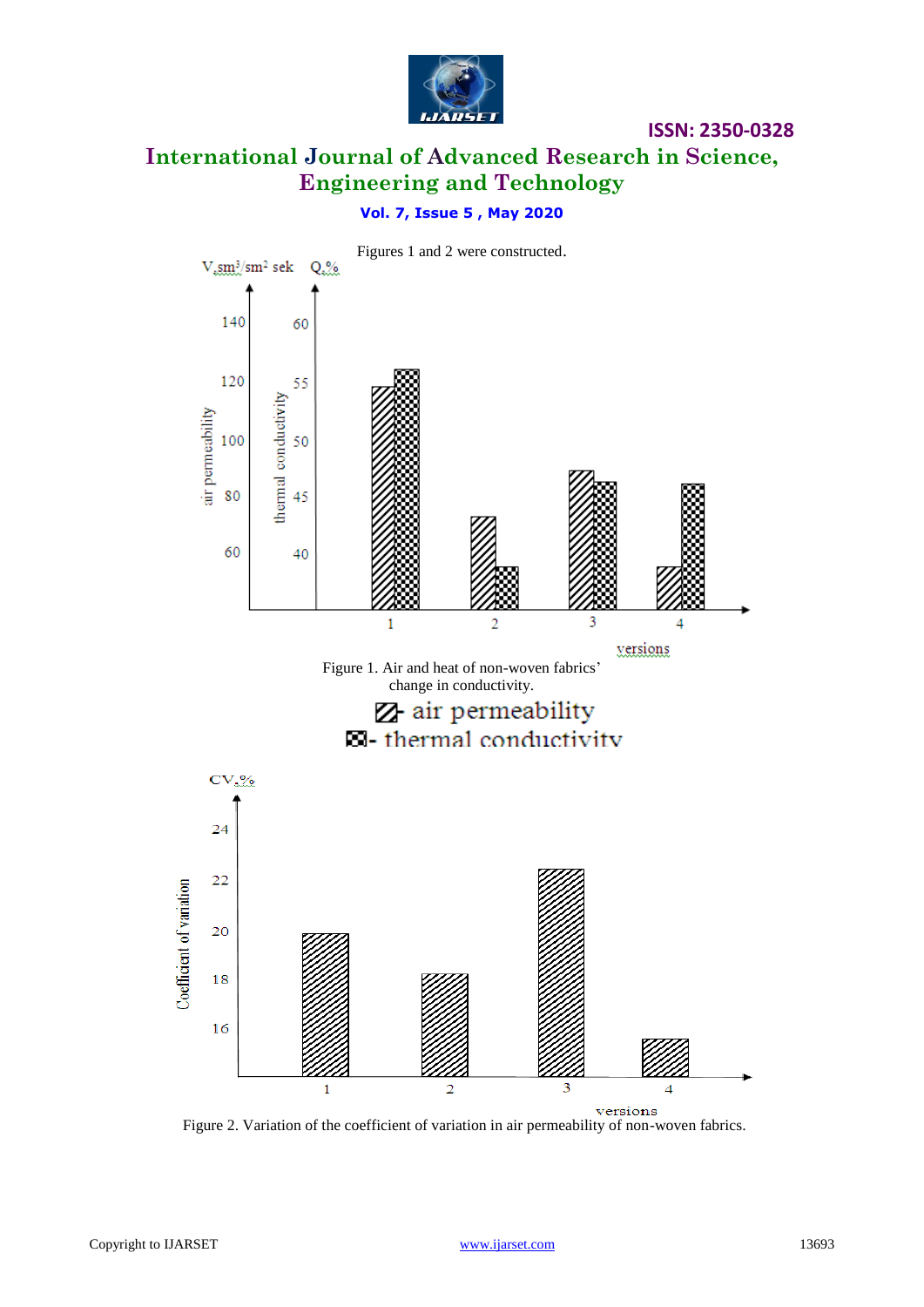

# **ISSN: 2350-0328 International Journal of Advanced Research in Science, Engineering and Technology**

### **Vol. 7, Issue 5 , May 2020**



Figure 2. Variation of the coefficient of variation in air permeability of non-woven fabrics.